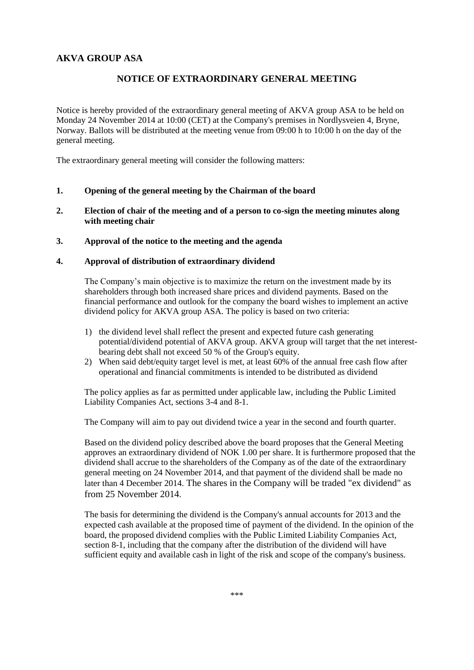# **AKVA GROUP ASA**

# **NOTICE OF EXTRAORDINARY GENERAL MEETING**

Notice is hereby provided of the extraordinary general meeting of AKVA group ASA to be held on Monday 24 November 2014 at 10:00 (CET) at the Company's premises in Nordlysveien 4, Bryne, Norway. Ballots will be distributed at the meeting venue from 09:00 h to 10:00 h on the day of the general meeting.

The extraordinary general meeting will consider the following matters:

### **1. Opening of the general meeting by the Chairman of the board**

**2. Election of chair of the meeting and of a person to co-sign the meeting minutes along with meeting chair**

## **3. Approval of the notice to the meeting and the agenda**

### **4. Approval of distribution of extraordinary dividend**

The Company's main objective is to maximize the return on the investment made by its shareholders through both increased share prices and dividend payments. Based on the financial performance and outlook for the company the board wishes to implement an active dividend policy for AKVA group ASA. The policy is based on two criteria:

- 1) the dividend level shall reflect the present and expected future cash generating potential/dividend potential of AKVA group. AKVA group will target that the net interestbearing debt shall not exceed 50 % of the Group's equity.
- 2) When said debt/equity target level is met, at least 60% of the annual free cash flow after operational and financial commitments is intended to be distributed as dividend

The policy applies as far as permitted under applicable law, including the Public Limited Liability Companies Act, sections 3-4 and 8-1.

The Company will aim to pay out dividend twice a year in the second and fourth quarter.

Based on the dividend policy described above the board proposes that the General Meeting approves an extraordinary dividend of NOK 1.00 per share. It is furthermore proposed that the dividend shall accrue to the shareholders of the Company as of the date of the extraordinary general meeting on 24 November 2014, and that payment of the dividend shall be made no later than 4 December 2014. The shares in the Company will be traded "ex dividend" as from 25 November 2014.

The basis for determining the dividend is the Company's annual accounts for 2013 and the expected cash available at the proposed time of payment of the dividend. In the opinion of the board, the proposed dividend complies with the Public Limited Liability Companies Act, section 8-1, including that the company after the distribution of the dividend will have sufficient equity and available cash in light of the risk and scope of the company's business.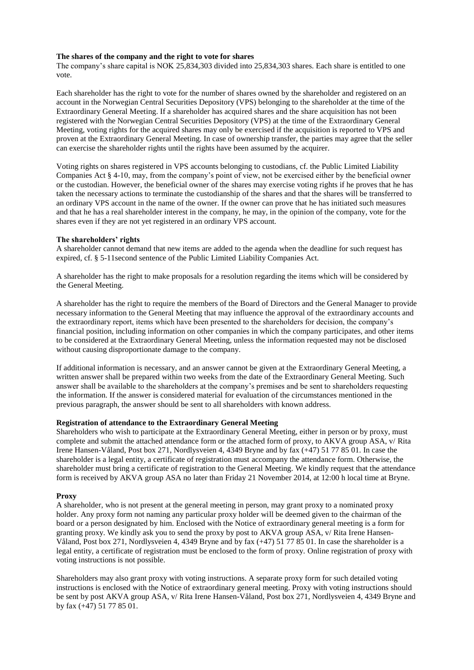#### **The shares of the company and the right to vote for shares**

The company's share capital is NOK 25,834,303 divided into 25,834,303 shares. Each share is entitled to one vote.

Each shareholder has the right to vote for the number of shares owned by the shareholder and registered on an account in the Norwegian Central Securities Depository (VPS) belonging to the shareholder at the time of the Extraordinary General Meeting. If a shareholder has acquired shares and the share acquisition has not been registered with the Norwegian Central Securities Depository (VPS) at the time of the Extraordinary General Meeting, voting rights for the acquired shares may only be exercised if the acquisition is reported to VPS and proven at the Extraordinary General Meeting. In case of ownership transfer, the parties may agree that the seller can exercise the shareholder rights until the rights have been assumed by the acquirer.

Voting rights on shares registered in VPS accounts belonging to custodians, cf. the Public Limited Liability Companies Act § 4-10, may, from the company's point of view, not be exercised either by the beneficial owner or the custodian. However, the beneficial owner of the shares may exercise voting rights if he proves that he has taken the necessary actions to terminate the custodianship of the shares and that the shares will be transferred to an ordinary VPS account in the name of the owner. If the owner can prove that he has initiated such measures and that he has a real shareholder interest in the company, he may, in the opinion of the company, vote for the shares even if they are not yet registered in an ordinary VPS account.

### **The shareholders' rights**

A shareholder cannot demand that new items are added to the agenda when the deadline for such request has expired, cf. § 5-11second sentence of the Public Limited Liability Companies Act.

A shareholder has the right to make proposals for a resolution regarding the items which will be considered by the General Meeting.

A shareholder has the right to require the members of the Board of Directors and the General Manager to provide necessary information to the General Meeting that may influence the approval of the extraordinary accounts and the extraordinary report, items which have been presented to the shareholders for decision, the company's financial position, including information on other companies in which the company participates, and other items to be considered at the Extraordinary General Meeting, unless the information requested may not be disclosed without causing disproportionate damage to the company.

If additional information is necessary, and an answer cannot be given at the Extraordinary General Meeting, a written answer shall be prepared within two weeks from the date of the Extraordinary General Meeting. Such answer shall be available to the shareholders at the company's premises and be sent to shareholders requesting the information. If the answer is considered material for evaluation of the circumstances mentioned in the previous paragraph, the answer should be sent to all shareholders with known address.

#### **Registration of attendance to the Extraordinary General Meeting**

Shareholders who wish to participate at the Extraordinary General Meeting, either in person or by proxy, must complete and submit the attached attendance form or the attached form of proxy, to AKVA group ASA, v/ Rita Irene Hansen-Våland, Post box 271, Nordlysveien 4, 4349 Bryne and by fax (+47) 51 77 85 01. In case the shareholder is a legal entity, a certificate of registration must accompany the attendance form. Otherwise, the shareholder must bring a certificate of registration to the General Meeting. We kindly request that the attendance form is received by AKVA group ASA no later than Friday 21 November 2014, at 12:00 h local time at Bryne.

### **Proxy**

A shareholder, who is not present at the general meeting in person, may grant proxy to a nominated proxy holder. Any proxy form not naming any particular proxy holder will be deemed given to the chairman of the board or a person designated by him. Enclosed with the Notice of extraordinary general meeting is a form for granting proxy. We kindly ask you to send the proxy by post to AKVA group ASA, v/ Rita Irene Hansen-Våland, Post box 271, Nordlysveien 4, 4349 Bryne and by fax (+47) 51 77 85 01. In case the shareholder is a legal entity, a certificate of registration must be enclosed to the form of proxy. Online registration of proxy with voting instructions is not possible.

Shareholders may also grant proxy with voting instructions. A separate proxy form for such detailed voting instructions is enclosed with the Notice of extraordinary general meeting. Proxy with voting instructions should be sent by post AKVA group ASA, v/ Rita Irene Hansen-Våland, Post box 271, Nordlysveien 4, 4349 Bryne and by fax (+47) 51 77 85 01.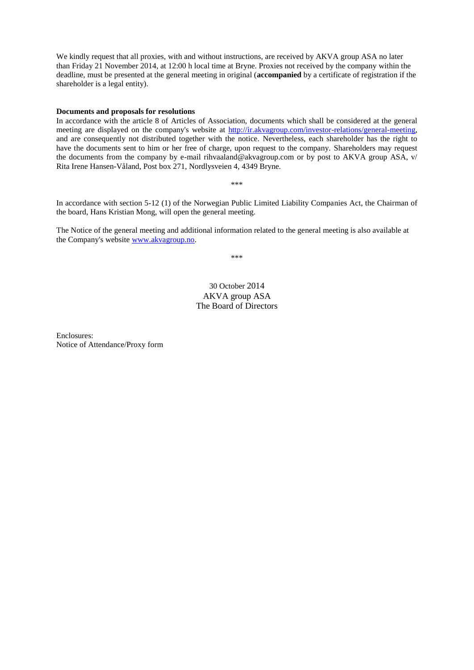We kindly request that all proxies, with and without instructions, are received by AKVA group ASA no later than Friday 21 November 2014, at 12:00 h local time at Bryne. Proxies not received by the company within the deadline, must be presented at the general meeting in original (**accompanied** by a certificate of registration if the shareholder is a legal entity).

#### **Documents and proposals for resolutions**

In accordance with the article 8 of Articles of Association, documents which shall be considered at the general meeting are displayed on the company's website at [http://ir.akvagroup.com/investor-relations/general-meeting,](http://ir.akvagroup.com/investor-relations/general-meeting) and are consequently not distributed together with the notice. Nevertheless, each shareholder has the right to have the documents sent to him or her free of charge, upon request to the company. Shareholders may request the documents from the company by e-mail rihvaaland@akvagroup.com or by post to AKVA group ASA, v/ Rita Irene Hansen-Våland, Post box 271, Nordlysveien 4, 4349 Bryne.

\*\*\*

In accordance with section 5-12 (1) of the Norwegian Public Limited Liability Companies Act, the Chairman of the board, Hans Kristian Mong, will open the general meeting.

The Notice of the general meeting and additional information related to the general meeting is also available at the Company's website [www.akvagroup.no.](http://www.akvagroup.no/)

\*\*\*

## 30 October 2014 AKVA group ASA The Board of Directors

Enclosures: Notice of Attendance/Proxy form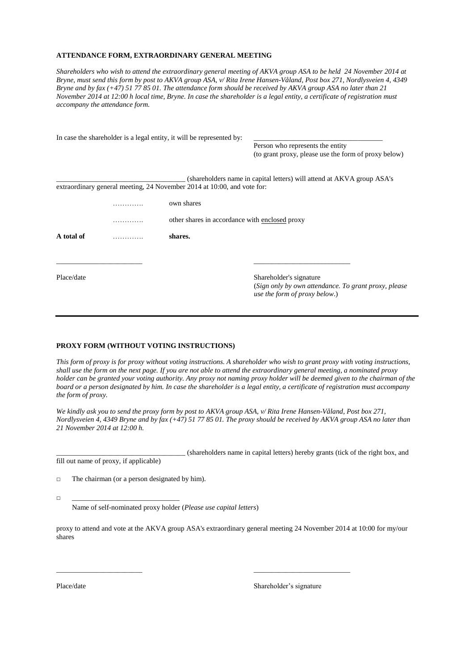#### **ATTENDANCE FORM, EXTRAORDINARY GENERAL MEETING**

*Shareholders who wish to attend the extraordinary general meeting of AKVA group ASA to be held 24 November 2014 at Bryne, must send this form by post to AKVA group ASA*, *v/ Rita Irene Hansen-Våland, Post box 271, Nordlysveien 4, 4349 Bryne and by fax (+47) 51 77 85 01. The attendance form should be received by AKVA group ASA no later than 21 November 2014 at 12:00 h local time, Bryne. In case the shareholder is a legal entity, a certificate of registration must accompany the attendance form.*

|            |   | In case the shareholder is a legal entity, it will be represented by:   |                                                                                                                   |  |
|------------|---|-------------------------------------------------------------------------|-------------------------------------------------------------------------------------------------------------------|--|
|            |   |                                                                         | Person who represents the entity                                                                                  |  |
|            |   |                                                                         | (to grant proxy, please use the form of proxy below)                                                              |  |
|            |   | extraordinary general meeting, 24 November 2014 at 10:00, and vote for: | (shareholders name in capital letters) will attend at AKVA group ASA's                                            |  |
|            |   | own shares                                                              |                                                                                                                   |  |
|            |   | other shares in accordance with enclosed proxy                          |                                                                                                                   |  |
| A total of | . | shares.                                                                 |                                                                                                                   |  |
|            |   |                                                                         |                                                                                                                   |  |
| Place/date |   |                                                                         | Shareholder's signature<br>(Sign only by own attendance. To grant proxy, please)<br>use the form of proxy below.) |  |

#### **PROXY FORM (WITHOUT VOTING INSTRUCTIONS)**

*This form of proxy is for proxy without voting instructions. A shareholder who wish to grant proxy with voting instructions, shall use the form on the next page. If you are not able to attend the extraordinary general meeting, a nominated proxy holder can be granted your voting authority. Any proxy not naming proxy holder will be deemed given to the chairman of the board or a person designated by him. In case the shareholder is a legal entity, a certificate of registration must accompany the form of proxy.*

*We kindly ask you to send the proxy form by post to AKVA group ASA, v/ Rita Irene Hansen-Våland, Post box 271, Nordlysveien 4, 4349 Bryne and by fax (+47) 51 77 85 01. The proxy should be received by AKVA group ASA no later than 21 November 2014 at 12:00 h.*

\_\_\_\_\_\_\_\_\_\_\_\_\_\_\_\_\_\_\_\_\_\_\_\_\_\_\_\_\_\_\_\_\_\_\_\_ (shareholders name in capital letters) hereby grants (tick of the right box, and fill out name of proxy, if applicable)

 $\Box$  The chairman (or a person designated by him).

□ \_\_\_\_\_\_\_\_\_\_\_\_\_\_\_\_\_\_\_\_\_\_\_\_\_\_\_\_\_\_

Name of self-nominated proxy holder (*Please use capital letters*)

proxy to attend and vote at the AKVA group ASA's extraordinary general meeting 24 November 2014 at 10:00 for my/our shares

\_\_\_\_\_\_\_\_\_\_\_\_\_\_\_\_\_\_\_\_\_\_\_\_ \_\_\_\_\_\_\_\_\_\_\_\_\_\_\_\_\_\_\_\_\_\_\_\_\_\_\_

Place/date Shareholder's signature